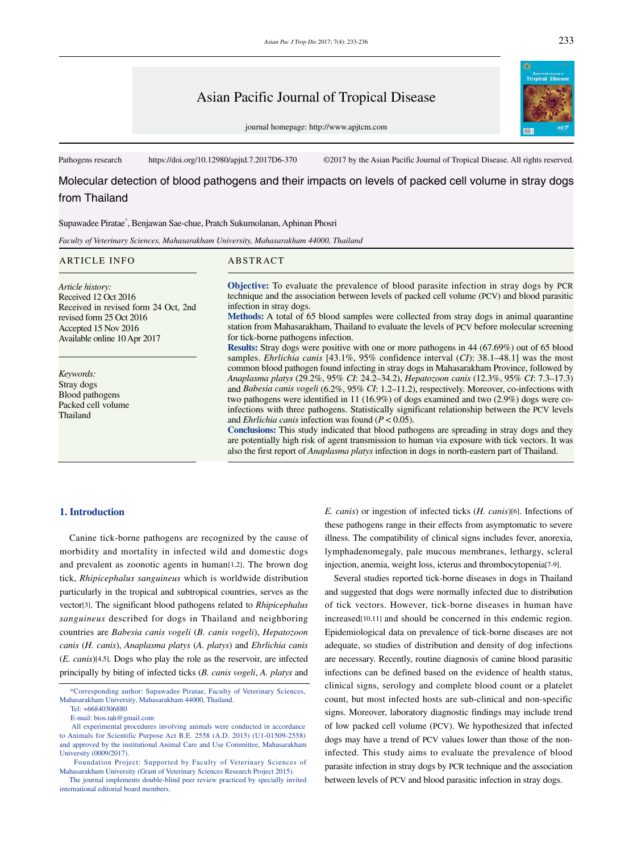# Asian Pacific Journal of Tropical Disease

journal homepage: http://www.apjtcm.com

Pathogens research https://doi.org/10.12980/apjtd.7.2017D6-370 ©2017 by the Asian Pacific Journal of Tropical Disease. All rights reserved.

Molecular detection of blood pathogens and their impacts on levels of packed cell volume in stray dogs from Thailand

Supawadee Piratae\* , Benjawan Sae-chue, Pratch Sukumolanan, Aphinan Phosri

*Faculty of Veterinary Sciences, Mahasarakham University, Mahasarakham 44000, Thailand*

### ARTICLE INFO ABSTRACT

*Article history:* Received 12 Oct 2016 Received in revised form 24 Oct, 2nd revised form 25 Oct 2016 Accepted 15 Nov 2016 Available online 10 Apr 2017

*Keywords:* Stray dogs Blood pathogens Packed cell volume Thailand

**Objective:** To evaluate the prevalence of blood parasite infection in stray dogs by PCR technique and the association between levels of packed cell volume (PCV) and blood parasitic infection in stray dogs.

**Methods:** A total of 65 blood samples were collected from stray dogs in animal quarantine station from Mahasarakham, Thailand to evaluate the levels of PCV before molecular screening for tick-borne pathogens infection.

**Results:** Stray dogs were positive with one or more pathogens in 44 (67.69%) out of 65 blood samples. *Ehrlichia canis* [43.1%, 95% confidence interval (*CI*): 38.1–48.1] was the most common blood pathogen found infecting in stray dogs in Mahasarakham Province, followed by *Anaplasma platys* (29.2%, 95% *CI*: 24.2–34.2), *Hepatozoon canis* (12.3%, 95% *CI*: 7.3–17.3) and *Babesia canis vogeli* (6.2%, 95% *CI*: 1.2–11.2), respectively. Moreover, co-infections with two pathogens were identified in 11 (16.9%) of dogs examined and two (2.9%) dogs were coinfections with three pathogens. Statistically significant relationship between the PCV levels and *Ehrlichia canis* infection was found (*P* < 0.05).

**Conclusions:** This study indicated that blood pathogens are spreading in stray dogs and they are potentially high risk of agent transmission to human via exposure with tick vectors. It was also the first report of *Anaplasma platys* infection in dogs in north-eastern part of Thailand.

## **1. Introduction**

 Canine tick-borne pathogens are recognized by the cause of morbidity and mortality in infected wild and domestic dogs and prevalent as zoonotic agents in human[1,2]. The brown dog tick, *Rhipicephalus sanguineus* which is worldwide distribution particularly in the tropical and subtropical countries, serves as the vector[3]. The significant blood pathogens related to *Rhipicephalus sanguineus* described for dogs in Thailand and neighboring countries are *Babesia canis vogeli* (*B. canis vogeli*), *Hepatozoon canis* (*H. canis*), *Anaplasma platys* (*A. platys*) and *Ehrlichia canis*  (*E. canis*)[4,5]. Dogs who play the role as the reservoir, are infected principally by biting of infected ticks (*B. canis vogeli*, *A. platys* and *E. canis*) or ingestion of infected ticks (*H. canis*)[6]. Infections of these pathogens range in their effects from asymptomatic to severe illness. The compatibility of clinical signs includes fever, anorexia, lymphadenomegaly, pale mucous membranes, lethargy, scleral injection, anemia, weight loss, icterus and thrombocytopenia[7-9].

 Several studies reported tick-borne diseases in dogs in Thailand and suggested that dogs were normally infected due to distribution of tick vectors. However, tick-borne diseases in human have increased[10,11] and should be concerned in this endemic region. Epidemiological data on prevalence of tick-borne diseases are not adequate, so studies of distribution and density of dog infections are necessary. Recently, routine diagnosis of canine blood parasitic infections can be defined based on the evidence of health status, clinical signs, serology and complete blood count or a platelet count, but most infected hosts are sub-clinical and non-specific signs. Moreover, laboratory diagnostic findings may include trend of low packed cell volume (PCV). We hypothesized that infected dogs may have a trend of PCV values lower than those of the noninfected. This study aims to evaluate the prevalence of blood parasite infection in stray dogs by PCR technique and the association between levels of PCV and blood parasitic infection in stray dogs.



 <sup>\*</sup>Corresponding author: Supawadee Piratae, Faculty of Veterinary Sciences, Mahasarakham University, Mahasarakham 44000, Thailand.

Tel: +66840306880

E-mail: bios.tah@gmail.com

All experimental procedures involving animals were conducted in accordance to Animals for Scientific Purpose Act B.E. 2558 (A.D. 2015) (U1-01509-2558) and approved by the institutional Animal Care and Use Committee, Mahasarakham University (0009/2017).

Foundation Project: Supported by Faculty of Veterinary Sciences of Mahasarakham University (Grant of Veterinary Sciences Research Project 2015).

The journal implements double-blind peer review practiced by specially invited international editorial board members.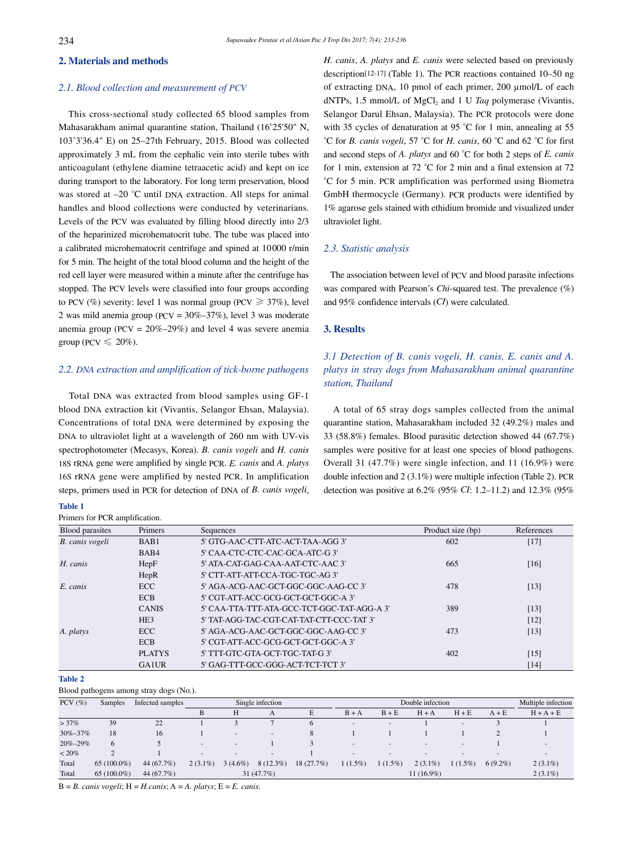# **2. Materials and methods**

### *2.1. Blood collection and measurement of PCV*

 This cross-sectional study collected 65 blood samples from Mahasarakham animal quarantine station, Thailand (16°25'50" N, 103°3'36.4" E) on 25–27th February, 2015. Blood was collected approximately 3 mL from the cephalic vein into sterile tubes with anticoagulant (ethylene diamine tetraacetic acid) and kept on ice during transport to the laboratory. For long term preservation, blood was stored at –20 °C until DNA extraction. All steps for animal handles and blood collections were conducted by veterinarians. Levels of the PCV was evaluated by filling blood directly into 2/3 of the heparinized microhematocrit tube. The tube was placed into a calibrated microhematocrit centrifuge and spined at 10000 r/min for 5 min. The height of the total blood column and the height of the red cell layer were measured within a minute after the centrifuge has stopped. The PCV levels were classified into four groups according to PCV (%) severity: level 1 was normal group (PCV  $\geq 37\%$ ), level 2 was mild anemia group (PCV = 30%–37%), level 3 was moderate anemia group (PCV =  $20\% - 29\%$ ) and level 4 was severe anemia group (PCV  $\leq 20\%$ ).

# *2.2. DNA extraction and amplification of tick-borne pathogens*

 Total DNA was extracted from blood samples using GF-1 blood DNA extraction kit (Vivantis, Selangor Ehsan, Malaysia). Concentrations of total DNA were determined by exposing the DNA to ultraviolet light at a wavelength of 260 nm with UV-vis spectrophotometer (Mecasys, Korea). *B. canis vogeli* and *H. canis* 18S rRNA gene were amplified by single PCR. *E. canis* and *A. platys* 16S rRNA gene were amplified by nested PCR. In amplification steps, primers used in PCR for detection of DNA of *B. canis vogeli*,

#### **Table 1**

Primers for PCR amplification.

*H. canis*, *A. platys* and *E. canis* were selected based on previously description[12-17] (Table 1). The PCR reactions contained 10–50 ng of extracting DNA, 10 pmol of each primer, 200 µmol/L of each dNTPs, 1.5 mmol/L of MgCl<sub>2</sub> and 1 U *Taq* polymerase (Vivantis, Selangor Darul Ehsan, Malaysia). The PCR protocols were done with 35 cycles of denaturation at 95 °C for 1 min, annealing at 55 °C for *B. canis vogeli*, 57 °C for *H. canis*, 60 °C and 62 °C for first and second steps of *A. platys* and 60 °C for both 2 steps of *E. canis* for 1 min, extension at 72 °C for 2 min and a final extension at 72 °C for 5 min. PCR amplification was performed using Biometra GmbH thermocycle (Germany). PCR products were identified by 1% agarose gels stained with ethidium bromide and visualized under ultraviolet light.

### *2.3. Statistic analysis*

 The association between level of PCV and blood parasite infections was compared with Pearson's *Chi*-squared test. The prevalence (%) and 95% confidence intervals (*CI*) were calculated.

# **3. Results**

# *3.1 Detection of B. canis vogeli, H. canis, E. canis and A. platys in stray dogs from Mahasarakham animal quarantine station, Thailand*

 A total of 65 stray dogs samples collected from the animal quarantine station, Mahasarakham included 32 (49.2%) males and 33 (58.8%) females. Blood parasitic detection showed 44 (67.7%) samples were positive for at least one species of blood pathogens. Overall 31 (47.7%) were single infection, and 11 (16.9%) were double infection and 2 (3.1%) were multiple infection (Table 2). PCR detection was positive at 6.2% (95% *CI*: 1.2–11.2) and 12.3% (95%

| <b>Blood</b> parasites | Primers         | Sequences                                  | Product size (bp) | References |
|------------------------|-----------------|--------------------------------------------|-------------------|------------|
| B. canis vogeli        | BAB1            | 5' GTG-AAC-CTT-ATC-ACT-TAA-AGG 3'          | 602               | $[17]$     |
|                        | BAB4            | 5' CAA-CTC-CTC-CAC-GCA-ATC-G3'             |                   |            |
| H. canis               | HepF            | 5' ATA-CAT-GAG-CAA-AAT-CTC-AAC 3'          | 665               | [16]       |
|                        | HepR            | 5' CTT-ATT-ATT-CCA-TGC-TGC-AG3'            |                   |            |
| $E.$ canis             | <b>ECC</b>      | 5' AGA-ACG-AAC-GCT-GGC-GGC-AAG-CC 3'       | 478               | $[13]$     |
|                        | <b>ECB</b>      | 5' CGT-ATT-ACC-GCG-GCT-GCT-GGC-A 3'        |                   |            |
|                        | <b>CANIS</b>    | 5' CAA-TTA-TTT-ATA-GCC-TCT-GGC-TAT-AGG-A3' | 389               | [13]       |
|                        | HE <sub>3</sub> | 5' TAT-AGG-TAC-CGT-CAT-TAT-CTT-CCC-TAT 3'  |                   | [12]       |
| A. platys              | <b>ECC</b>      | 5' AGA-ACG-AAC-GCT-GGC-GGC-AAG-CC 3'       | 473               | $[13]$     |
|                        | <b>ECB</b>      | 5' CGT-ATT-ACC-GCG-GCT-GCT-GGC-A3'         |                   |            |
|                        | <b>PLATYS</b>   | 5' TTT-GTC-GTA-GCT-TGC-TAT-G3'             | 402               | $[15]$     |
|                        | <b>GA1UR</b>    | 5' GAG-TTT-GCC-GGG-ACT-TCT-TCT 3'          |                   | [14]       |

#### **Table 2**

Blood pathogens among stray dogs (No.).

| $PCV$ $(\%)$  | <b>Samples</b> | Infected samples | Single infection         |                          |             |           | Double infection         |              |                          |                          |            | Multiple infection       |
|---------------|----------------|------------------|--------------------------|--------------------------|-------------|-----------|--------------------------|--------------|--------------------------|--------------------------|------------|--------------------------|
|               |                |                  | B                        | Н                        | A           | E         | $B + A$                  | $B + E$      | $H + A$                  | $H + E$                  | $A + E$    | $H + A + E$              |
| $>37\%$       | 39             | 22               |                          |                          |             | 6         | $\sim$                   |              |                          | $\overline{\phantom{a}}$ |            |                          |
| $30\% - 37\%$ | 18             | 16               |                          | $\overline{\phantom{a}}$ | $\sim$      | 8         |                          |              |                          |                          |            |                          |
| $20\% - 29\%$ | 6              |                  | $\overline{\phantom{a}}$ | $\overline{\phantom{a}}$ |             |           | $\overline{\phantom{a}}$ |              | $\overline{\phantom{a}}$ | $\sim$                   |            | $\overline{\phantom{a}}$ |
| $< 20\%$      |                |                  | $\overline{\phantom{a}}$ |                          | $\sim$      |           | $\overline{\phantom{a}}$ |              | $\overline{\phantom{a}}$ | $\overline{\phantom{a}}$ |            | $\overline{\phantom{a}}$ |
| Total         | $65(100.0\%)$  | 44 (67.7%)       | $2(3.1\%)$               | $3(4.6\%)$               | $8(12.3\%)$ | 18(27.7%) | $1(1.5\%)$               | $1(1.5\%)$   | $2(3.1\%)$               | $1(1.5\%)$               | $6(9.2\%)$ | $2(3.1\%)$               |
| Total         | 65 $(100.0\%)$ | 44 (67.7%)       |                          | 31(47.7%)                |             |           |                          | $11(16.9\%)$ |                          |                          |            |                          |

B = *B. canis vogeli*; H = *H.canis*; A = *A. platys*; E = *E. canis.*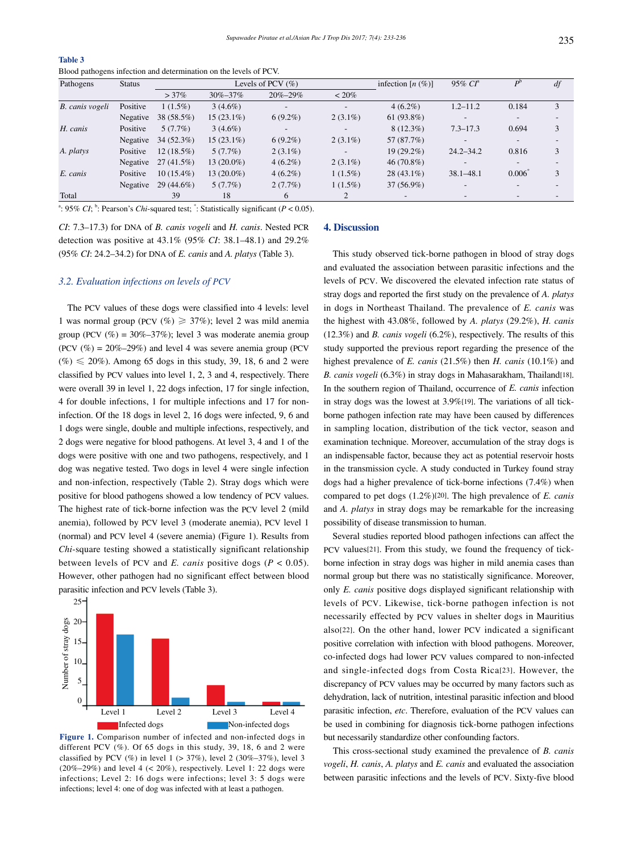| Table 3                                                          |  |  |  |
|------------------------------------------------------------------|--|--|--|
| Blood pathogens infection and determination on the levels of PCV |  |  |  |

| Pathogens       | <b>Status</b> |              |               | Levels of PCV $(\% )$    |                          | infection $[n (\%)]$     | $95\%$ $CI^a$            | $\boldsymbol{p}^{\text{b}}$ | df |
|-----------------|---------------|--------------|---------------|--------------------------|--------------------------|--------------------------|--------------------------|-----------------------------|----|
|                 |               | $>37\%$      | $30\% - 37\%$ | $20\% - 29\%$            | $~120\%$                 |                          |                          |                             |    |
| B. canis vogeli | Positive      | $1(1.5\%)$   | $3(4.6\%)$    | $\overline{\phantom{0}}$ | $\blacksquare$           | $4(6.2\%)$               | $1.2 - 11.2$             | 0.184                       | 3  |
|                 | Negative      | 38 (58.5%)   | $15(23.1\%)$  | $6(9.2\%)$               | $2(3.1\%)$               | 61 $(93.8\%)$            | -                        |                             |    |
| H. canis        | Positive      | 5(7.7%)      | $3(4.6\%)$    | $\overline{\phantom{a}}$ | $\overline{\phantom{0}}$ | $8(12.3\%)$              | $7.3 - 17.3$             | 0.694                       | 3  |
|                 | Negative      | $34(52.3\%)$ | $15(23.1\%)$  | $6(9.2\%)$               | $2(3.1\%)$               | 57 (87.7%)               | $\overline{\phantom{0}}$ |                             |    |
| A. platys       | Positive      | $12(18.5\%)$ | 5(7.7%)       | $2(3.1\%)$               |                          | $19(29.2\%)$             | $24.2 - 34.2$            | 0.816                       | 3  |
|                 | Negative      | $27(41.5\%)$ | $13(20.0\%)$  | $4(6.2\%)$               | $2(3.1\%)$               | $46(70.8\%)$             |                          |                             |    |
| E. canis        | Positive      | $10(15.4\%)$ | $13(20.0\%)$  | $4(6.2\%)$               | $1(1.5\%)$               | $28(43.1\%)$             | $38.1 - 48.1$            | 0.006                       | 3  |
|                 | Negative      | $29(44.6\%)$ | 5(7.7%)       | 2(7.7%)                  | $1(1.5\%)$               | $37(56.9\%)$             | $\overline{\phantom{0}}$ |                             |    |
| Total           |               | 39           | 18            | 6                        | 2                        | $\overline{\phantom{a}}$ |                          |                             |    |

<sup>a</sup>: 95% *CI*; <sup>b</sup>: Pearson's *Chi*-squared test;  $\cdot$ : Statistically significant (*P* < 0.05).

*CI*: 7.3–17.3) for DNA of *B. canis vogeli* and *H. canis*. Nested PCR detection was positive at 43.1% (95% *CI*: 38.1–48.1) and 29.2% (95% *CI*: 24.2–34.2) for DNA of *E. canis* and *A. platys* (Table 3).

### *3.2. Evaluation infections on levels of PCV*

 The PCV values of these dogs were classified into 4 levels: level 1 was normal group (PCV  $(\%) \geq 37\%$ ); level 2 was mild anemia group (PCV  $(\%) = 30\% - 37\%)$ ; level 3 was moderate anemia group (PCV  $(\%) = 20\% - 29\%)$  and level 4 was severe anemia group (PCV  $(\%) \le 20\%$ ). Among 65 dogs in this study, 39, 18, 6 and 2 were classified by PCV values into level 1, 2, 3 and 4, respectively. There were overall 39 in level 1, 22 dogs infection, 17 for single infection, 4 for double infections, 1 for multiple infections and 17 for noninfection. Of the 18 dogs in level 2, 16 dogs were infected, 9, 6 and 1 dogs were single, double and multiple infections, respectively, and 2 dogs were negative for blood pathogens. At level 3, 4 and 1 of the dogs were positive with one and two pathogens, respectively, and 1 dog was negative tested. Two dogs in level 4 were single infection and non-infection, respectively (Table 2). Stray dogs which were positive for blood pathogens showed a low tendency of PCV values. The highest rate of tick-borne infection was the PCV level 2 (mild anemia), followed by PCV level 3 (moderate anemia), PCV level 1 (normal) and PCV level 4 (severe anemia) (Figure 1). Results from *Chi*-square testing showed a statistically significant relationship between levels of PCV and *E. canis* positive dogs (*P* < 0.05). However, other pathogen had no significant effect between blood parasitic infection and PCV levels (Table 3).



**Figure 1.** Comparison number of infected and non-infected dogs in different PCV (%). Of 65 dogs in this study, 39, 18, 6 and 2 were classified by PCV (%) in level  $1$  (> 37%), level  $2$  (30%–37%), level 3  $(20\%-29\%)$  and level 4 (< 20%), respectively. Level 1: 22 dogs were infections; Level 2: 16 dogs were infections; level 3: 5 dogs were infections; level 4: one of dog was infected with at least a pathogen.

### **4. Discussion**

 This study observed tick-borne pathogen in blood of stray dogs and evaluated the association between parasitic infections and the levels of PCV. We discovered the elevated infection rate status of stray dogs and reported the first study on the prevalence of *A. platys* in dogs in Northeast Thailand. The prevalence of *E. canis* was the highest with 43.08%, followed by *A. platys* (29.2%), *H. canis* (12.3%) and *B. canis vogeli* (6.2%), respectively. The results of this study supported the previous report regarding the presence of the highest prevalence of *E. canis* (21.5%) then *H. canis* (10.1%) and *B. canis vogeli* (6.3%) in stray dogs in Mahasarakham, Thailand[18]. In the southern region of Thailand, occurrence of *E. canis* infection in stray dogs was the lowest at 3.9%[19]. The variations of all tickborne pathogen infection rate may have been caused by differences in sampling location, distribution of the tick vector, season and examination technique. Moreover, accumulation of the stray dogs is an indispensable factor, because they act as potential reservoir hosts in the transmission cycle. A study conducted in Turkey found stray dogs had a higher prevalence of tick-borne infections (7.4%) when compared to pet dogs (1.2%)[20]. The high prevalence of *E. canis* and *A. platys* in stray dogs may be remarkable for the increasing possibility of disease transmission to human.

 Several studies reported blood pathogen infections can affect the PCV values[21]. From this study, we found the frequency of tickborne infection in stray dogs was higher in mild anemia cases than normal group but there was no statistically significance. Moreover, only *E. canis* positive dogs displayed significant relationship with levels of PCV. Likewise, tick-borne pathogen infection is not necessarily effected by PCV values in shelter dogs in Mauritius also[22]. On the other hand, lower PCV indicated a significant positive correlation with infection with blood pathogens. Moreover, co-infected dogs had lower PCV values compared to non-infected and single-infected dogs from Costa Rica[23]. However, the discrepancy of PCV values may be occurred by many factors such as dehydration, lack of nutrition, intestinal parasitic infection and blood parasitic infection, *etc*. Therefore, evaluation of the PCV values can be used in combining for diagnosis tick-borne pathogen infections but necessarily standardize other confounding factors.

 This cross-sectional study examined the prevalence of *B. canis vogeli*, *H. canis*, *A. platys* and *E. canis* and evaluated the association between parasitic infections and the levels of PCV. Sixty-five blood